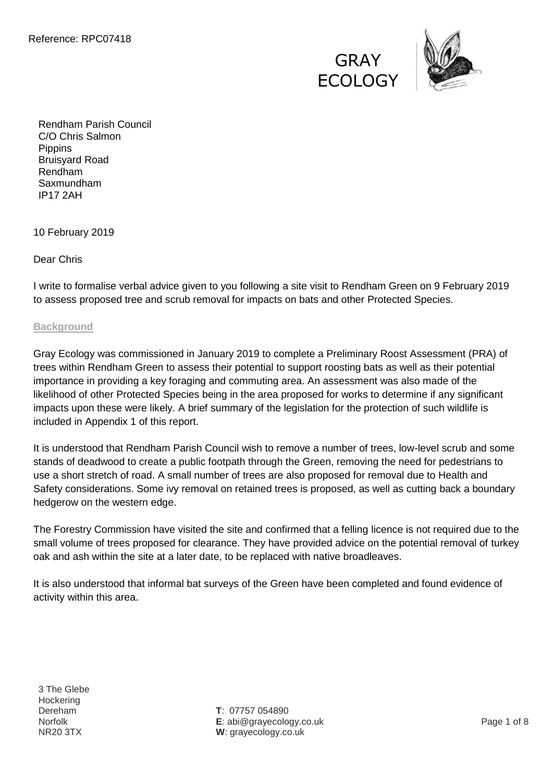



Rendham Parish Council C/O Chris Salmon **Pippins** Bruisyard Road Rendham Saxmundham IP17 2AH

10 February 2019

Dear Chris

I write to formalise verbal advice given to you following a site visit to Rendham Green on 9 February 2019 to assess proposed tree and scrub removal for impacts on bats and other Protected Species.

## **Background**

Gray Ecology was commissioned in January 2019 to complete a Preliminary Roost Assessment (PRA) of trees within Rendham Green to assess their potential to support roosting bats as well as their potential importance in providing a key foraging and commuting area. An assessment was also made of the likelihood of other Protected Species being in the area proposed for works to determine if any significant impacts upon these were likely. A brief summary of the legislation for the protection of such wildlife is included in Appendix 1 of this report.

It is understood that Rendham Parish Council wish to remove a number of trees, low-level scrub and some stands of deadwood to create a public footpath through the Green, removing the need for pedestrians to use a short stretch of road. A small number of trees are also proposed for removal due to Health and Safety considerations. Some ivy removal on retained trees is proposed, as well as cutting back a boundary hedgerow on the western edge.

The Forestry Commission have visited the site and confirmed that a felling licence is not required due to the small volume of trees proposed for clearance. They have provided advice on the potential removal of turkey oak and ash within the site at a later date, to be replaced with native broadleaves.

It is also understood that informal bat surveys of the Green have been completed and found evidence of activity within this area.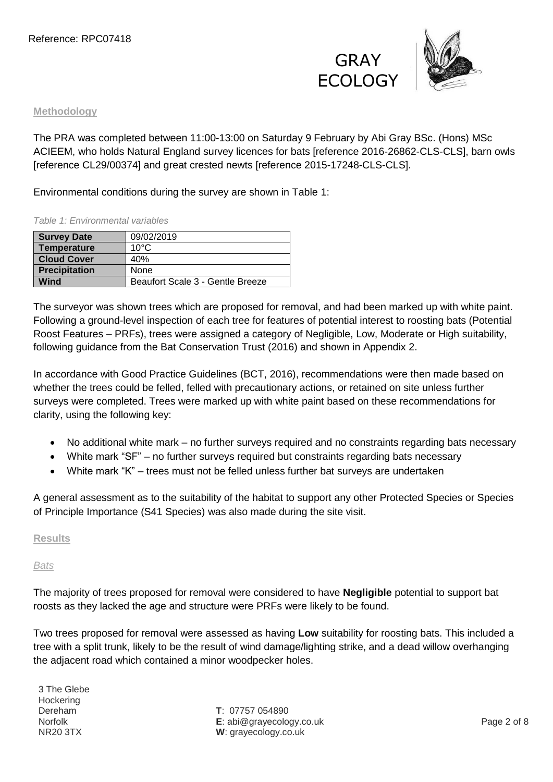**GRAY** ECOLOGY



## **Methodology**

The PRA was completed between 11:00-13:00 on Saturday 9 February by Abi Gray BSc. (Hons) MSc ACIEEM, who holds Natural England survey licences for bats [reference 2016-26862-CLS-CLS], barn owls [reference CL29/00374] and great crested newts [reference 2015-17248-CLS-CLS].

Environmental conditions during the survey are shown in Table 1:

## *Table 1: Environmental variables*

| <b>Survey Date</b>   | 09/02/2019                       |
|----------------------|----------------------------------|
| <b>Temperature</b>   | $10^{\circ}$ C                   |
| <b>Cloud Cover</b>   | 40%                              |
| <b>Precipitation</b> | None                             |
| Wind                 | Beaufort Scale 3 - Gentle Breeze |

The surveyor was shown trees which are proposed for removal, and had been marked up with white paint. Following a ground-level inspection of each tree for features of potential interest to roosting bats (Potential Roost Features – PRFs), trees were assigned a category of Negligible, Low, Moderate or High suitability, following guidance from the Bat Conservation Trust (2016) and shown in Appendix 2.

In accordance with Good Practice Guidelines (BCT, 2016), recommendations were then made based on whether the trees could be felled, felled with precautionary actions, or retained on site unless further surveys were completed. Trees were marked up with white paint based on these recommendations for clarity, using the following key:

- No additional white mark no further surveys required and no constraints regarding bats necessary
- White mark "SF" no further surveys required but constraints regarding bats necessary
- White mark "K" trees must not be felled unless further bat surveys are undertaken

A general assessment as to the suitability of the habitat to support any other Protected Species or Species of Principle Importance (S41 Species) was also made during the site visit.

## **Results**

## *Bats*

The majority of trees proposed for removal were considered to have **Negligible** potential to support bat roosts as they lacked the age and structure were PRFs were likely to be found.

Two trees proposed for removal were assessed as having **Low** suitability for roosting bats. This included a tree with a split trunk, likely to be the result of wind damage/lighting strike, and a dead willow overhanging the adjacent road which contained a minor woodpecker holes.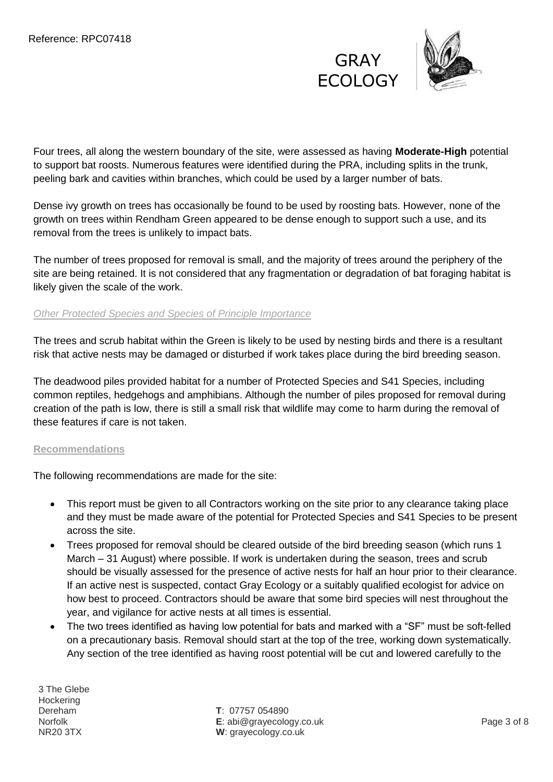



Four trees, all along the western boundary of the site, were assessed as having **Moderate-High** potential to support bat roosts. Numerous features were identified during the PRA, including splits in the trunk, peeling bark and cavities within branches, which could be used by a larger number of bats.

Dense ivy growth on trees has occasionally be found to be used by roosting bats. However, none of the growth on trees within Rendham Green appeared to be dense enough to support such a use, and its removal from the trees is unlikely to impact bats.

The number of trees proposed for removal is small, and the majority of trees around the periphery of the site are being retained. It is not considered that any fragmentation or degradation of bat foraging habitat is likely given the scale of the work.

## *Other Protected Species and Species of Principle Importance*

The trees and scrub habitat within the Green is likely to be used by nesting birds and there is a resultant risk that active nests may be damaged or disturbed if work takes place during the bird breeding season.

The deadwood piles provided habitat for a number of Protected Species and S41 Species, including common reptiles, hedgehogs and amphibians. Although the number of piles proposed for removal during creation of the path is low, there is still a small risk that wildlife may come to harm during the removal of these features if care is not taken.

## **Recommendations**

The following recommendations are made for the site:

- This report must be given to all Contractors working on the site prior to any clearance taking place and they must be made aware of the potential for Protected Species and S41 Species to be present across the site.
- Trees proposed for removal should be cleared outside of the bird breeding season (which runs 1 March – 31 August) where possible. If work is undertaken during the season, trees and scrub should be visually assessed for the presence of active nests for half an hour prior to their clearance. If an active nest is suspected, contact Gray Ecology or a suitably qualified ecologist for advice on how best to proceed. Contractors should be aware that some bird species will nest throughout the year, and vigilance for active nests at all times is essential.
- The two trees identified as having low potential for bats and marked with a "SF" must be soft-felled on a precautionary basis. Removal should start at the top of the tree, working down systematically. Any section of the tree identified as having roost potential will be cut and lowered carefully to the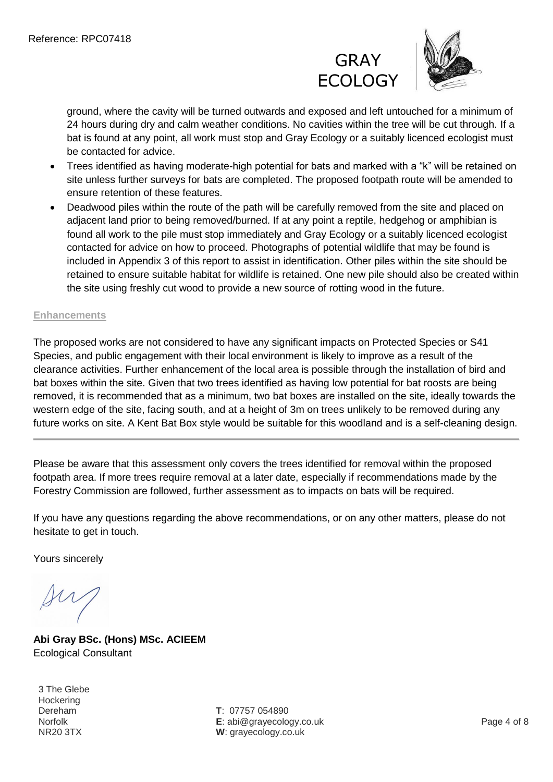



ground, where the cavity will be turned outwards and exposed and left untouched for a minimum of 24 hours during dry and calm weather conditions. No cavities within the tree will be cut through. If a bat is found at any point, all work must stop and Gray Ecology or a suitably licenced ecologist must be contacted for advice.

- Trees identified as having moderate-high potential for bats and marked with a "k" will be retained on site unless further surveys for bats are completed. The proposed footpath route will be amended to ensure retention of these features.
- Deadwood piles within the route of the path will be carefully removed from the site and placed on adjacent land prior to being removed/burned. If at any point a reptile, hedgehog or amphibian is found all work to the pile must stop immediately and Gray Ecology or a suitably licenced ecologist contacted for advice on how to proceed. Photographs of potential wildlife that may be found is included in Appendix 3 of this report to assist in identification. Other piles within the site should be retained to ensure suitable habitat for wildlife is retained. One new pile should also be created within the site using freshly cut wood to provide a new source of rotting wood in the future.

## **Enhancements**

The proposed works are not considered to have any significant impacts on Protected Species or S41 Species, and public engagement with their local environment is likely to improve as a result of the clearance activities. Further enhancement of the local area is possible through the installation of bird and bat boxes within the site. Given that two trees identified as having low potential for bat roosts are being removed, it is recommended that as a minimum, two bat boxes are installed on the site, ideally towards the western edge of the site, facing south, and at a height of 3m on trees unlikely to be removed during any future works on site. A Kent Bat Box style would be suitable for this woodland and is a self-cleaning design.

Please be aware that this assessment only covers the trees identified for removal within the proposed footpath area. If more trees require removal at a later date, especially if recommendations made by the Forestry Commission are followed, further assessment as to impacts on bats will be required.

If you have any questions regarding the above recommendations, or on any other matters, please do not hesitate to get in touch.

Yours sincerely

**Abi Gray BSc. (Hons) MSc. ACIEEM** Ecological Consultant

3 The Glebe **Hockering** Dereham Norfolk NR20 3TX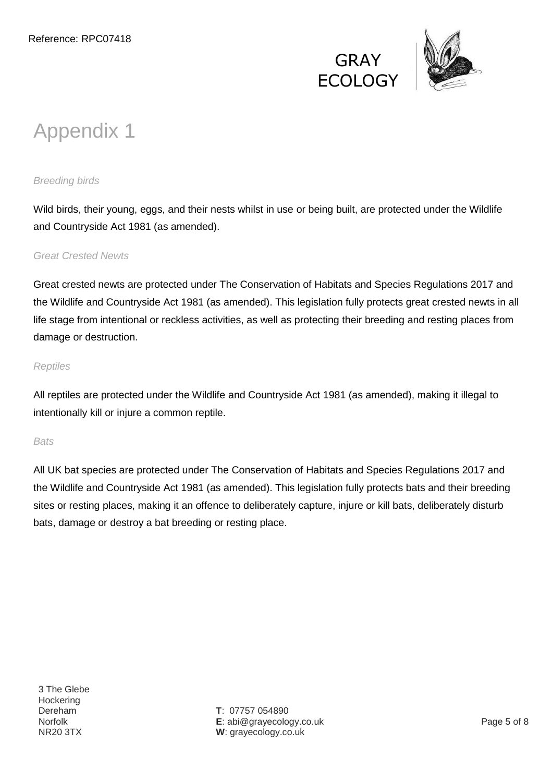



# Appendix 1

# *Breeding birds*

Wild birds, their young, eggs, and their nests whilst in use or being built, are protected under the Wildlife and Countryside Act 1981 (as amended).

## *Great Crested Newts*

Great crested newts are protected under The Conservation of Habitats and Species Regulations 2017 and the Wildlife and Countryside Act 1981 (as amended). This legislation fully protects great crested newts in all life stage from intentional or reckless activities, as well as protecting their breeding and resting places from damage or destruction.

## *Reptiles*

All reptiles are protected under the Wildlife and Countryside Act 1981 (as amended), making it illegal to intentionally kill or injure a common reptile.

## *Bats*

All UK bat species are protected under The Conservation of Habitats and Species Regulations 2017 and the Wildlife and Countryside Act 1981 (as amended). This legislation fully protects bats and their breeding sites or resting places, making it an offence to deliberately capture, injure or kill bats, deliberately disturb bats, damage or destroy a bat breeding or resting place.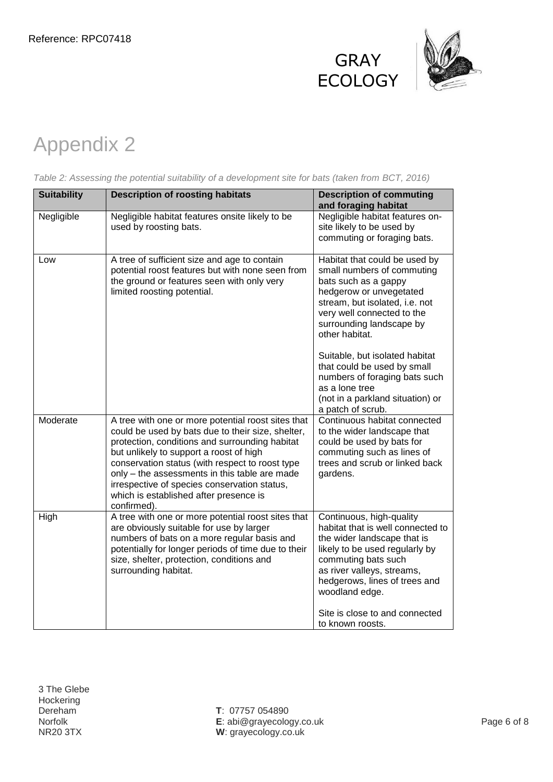



# Appendix 2

| <b>Suitability</b> | <b>Description of roosting habitats</b>                                                                                                                                                                                                                                                                                                                                                                           | <b>Description of commuting</b><br>and foraging habitat                                                                                                                                                                                                                                      |
|--------------------|-------------------------------------------------------------------------------------------------------------------------------------------------------------------------------------------------------------------------------------------------------------------------------------------------------------------------------------------------------------------------------------------------------------------|----------------------------------------------------------------------------------------------------------------------------------------------------------------------------------------------------------------------------------------------------------------------------------------------|
| Negligible         | Negligible habitat features onsite likely to be<br>used by roosting bats.                                                                                                                                                                                                                                                                                                                                         | Negligible habitat features on-<br>site likely to be used by<br>commuting or foraging bats.                                                                                                                                                                                                  |
| Low                | A tree of sufficient size and age to contain<br>potential roost features but with none seen from<br>the ground or features seen with only very<br>limited roosting potential.                                                                                                                                                                                                                                     | Habitat that could be used by<br>small numbers of commuting<br>bats such as a gappy<br>hedgerow or unvegetated<br>stream, but isolated, i.e. not<br>very well connected to the<br>surrounding landscape by<br>other habitat.<br>Suitable, but isolated habitat                               |
|                    |                                                                                                                                                                                                                                                                                                                                                                                                                   | that could be used by small<br>numbers of foraging bats such<br>as a lone tree<br>(not in a parkland situation) or<br>a patch of scrub.                                                                                                                                                      |
| Moderate           | A tree with one or more potential roost sites that<br>could be used by bats due to their size, shelter,<br>protection, conditions and surrounding habitat<br>but unlikely to support a roost of high<br>conservation status (with respect to roost type<br>only - the assessments in this table are made<br>irrespective of species conservation status,<br>which is established after presence is<br>confirmed). | Continuous habitat connected<br>to the wider landscape that<br>could be used by bats for<br>commuting such as lines of<br>trees and scrub or linked back<br>gardens.                                                                                                                         |
| High               | A tree with one or more potential roost sites that<br>are obviously suitable for use by larger<br>numbers of bats on a more regular basis and<br>potentially for longer periods of time due to their<br>size, shelter, protection, conditions and<br>surrounding habitat.                                                                                                                                         | Continuous, high-quality<br>habitat that is well connected to<br>the wider landscape that is<br>likely to be used regularly by<br>commuting bats such<br>as river valleys, streams,<br>hedgerows, lines of trees and<br>woodland edge.<br>Site is close to and connected<br>to known roosts. |

*Table 2: Assessing the potential suitability of a development site for bats (taken from BCT, 2016)*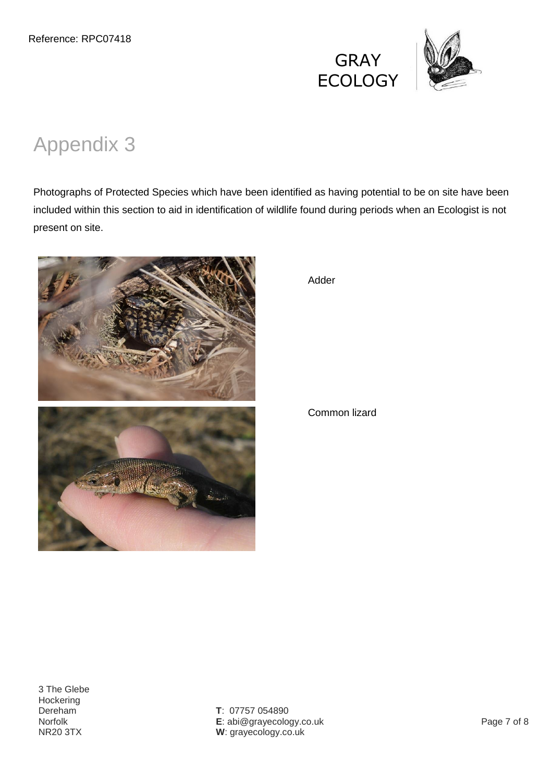



# Appendix 3

Photographs of Protected Species which have been identified as having potential to be on site have been included within this section to aid in identification of wildlife found during periods when an Ecologist is not present on site.



Adder

Common lizard

3 The Glebe **Hockering** Dereham<sup>o</sup> Norfolk NR20 3TX